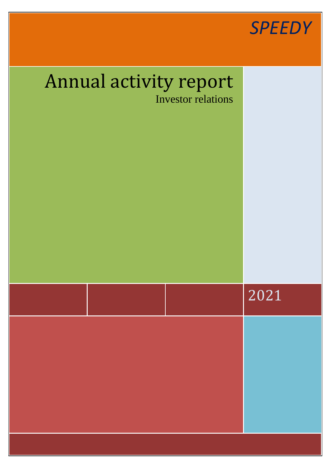

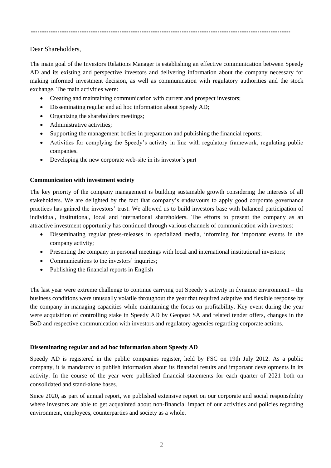.....................................................................................................................

Dear Shareholders,

The main goal of the Investors Relations Manager is establishing an effective communication between Speedy AD and its existing and perspective investors and delivering information about the company necessary for making informed investment decision, as well as communication with regulatory authorities and the stock exchange. The main activities were:

- Creating and maintaining communication with current and prospect investors;
- Disseminating regular and ad hoc information about Speedy AD;
- Organizing the shareholders meetings;
- Administrative activities:
- Supporting the management bodies in preparation and publishing the financial reports;
- Activities for complying the Speedy's activity in line with regulatory framework, regulating public companies.
- Developing the new corporate web-site in its investor's part

## **Communication with investment society**

The key priority of the company management is building sustainable growth considering the interests of all stakeholders. We are delighted by the fact that company's endeavours to apply good corporate governance practices has gained the investors' trust. We allowed us to build investors base with balanced participation of individual, institutional, local and international shareholders. The efforts to present the company as an attractive investment opportunity has continued through various channels of communication with investors:

- Disseminating regular press-releases in specialized media, informing for important events in the company activity;
- Presenting the company in personal meetings with local and international institutional investors;
- Communications to the investors' inquiries:
- Publishing the financial reports in English

The last year were extreme challenge to continue carrying out Speedy's activity in dynamic environment – the business conditions were unusually volatile throughout the year that required adaptive and flexible response by the company in managing capacities while maintaining the focus on profitability. Key event during the year were acquisition of controlling stake in Speedy AD by Geopost SA and related tender offers, changes in the BoD and respective communication with investors and regulatory agencies regarding corporate actions.

## **Disseminating regular and ad hoc information about Speedy AD**

Speedy AD is registered in the public companies register, held by FSC on 19th July 2012. As a public company, it is mandatory to publish information about its financial results and important developments in its activity. In the course of the year were published financial statements for each quarter of 2021 both on consolidated and stand-alone bases.

Since 2020, as part of annual report, we published extensive report on our corporate and social responsibility where investors are able to get acquainted about non-financial impact of our activities and policies regarding environment, employees, counterparties and society as a whole.